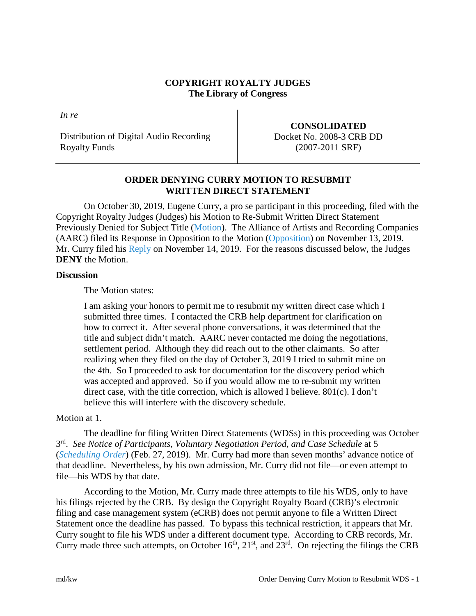### **COPYRIGHT ROYALTY JUDGES The Library of Congress**

*In re*

Distribution of Digital Audio Recording Royalty Funds

## **CONSOLIDATED** Docket No. 2008-3 CRB DD (2007-2011 SRF)

## **ORDER DENYING CURRY MOTION TO RESUBMIT WRITTEN DIRECT STATEMENT**

On October 30, 2019, Eugene Curry, a pro se participant in this proceeding, filed with the Copyright Royalty Judges (Judges) his Motion to Re-Submit Written Direct Statement Previously Denied for Subject Title [\(Motion\)](https://app.crb.gov/case/viewDocument/12350). The Alliance of Artists and Recording Companies (AARC) filed its Response in Opposition to the Motion [\(Opposition\)](https://app.crb.gov/case/viewDocument/15245) on November 13, 2019. Mr. Curry filed his [Reply](https://app.crb.gov/case/viewDocument/15279) on November 14, 2019. For the reasons discussed below, the Judges **DENY** the Motion.

### **Discussion**

The Motion states:

I am asking your honors to permit me to resubmit my written direct case which I submitted three times. I contacted the CRB help department for clarification on how to correct it. After several phone conversations, it was determined that the title and subject didn't match. AARC never contacted me doing the negotiations, settlement period. Although they did reach out to the other claimants. So after realizing when they filed on the day of October 3, 2019 I tried to submit mine on the 4th. So I proceeded to ask for documentation for the discovery period which was accepted and approved. So if you would allow me to re-submit my written direct case, with the title correction, which is allowed I believe. 801(c). I don't believe this will interfere with the discovery schedule.

# Motion at 1.

The deadline for filing Written Direct Statements (WDSs) in this proceeding was October 3rd. *See Notice of Participants, Voluntary Negotiation Period, and Case Schedule* at 5 (*[Scheduling Order](https://app.crb.gov/case/viewDocument/3729)*) (Feb. 27, 2019). Mr. Curry had more than seven months' advance notice of that deadline. Nevertheless, by his own admission, Mr. Curry did not file—or even attempt to file—his WDS by that date.

According to the Motion, Mr. Curry made three attempts to file his WDS, only to have his filings rejected by the CRB. By design the Copyright Royalty Board (CRB)'s electronic filing and case management system (eCRB) does not permit anyone to file a Written Direct Statement once the deadline has passed. To bypass this technical restriction, it appears that Mr. Curry sought to file his WDS under a different document type. According to CRB records, Mr. Curry made three such attempts, on October  $16<sup>th</sup>$ ,  $21<sup>st</sup>$ , and  $23<sup>rd</sup>$ . On rejecting the filings the CRB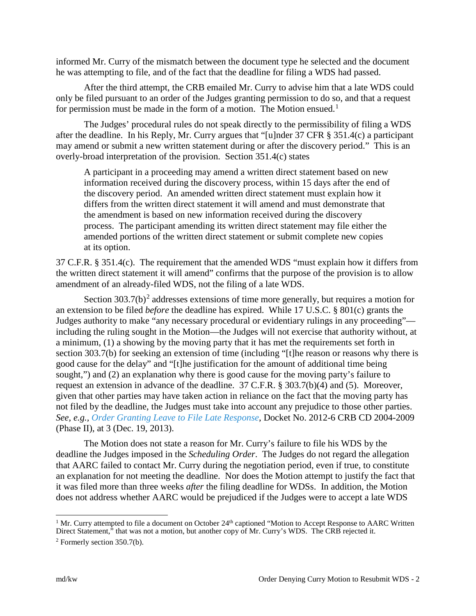informed Mr. Curry of the mismatch between the document type he selected and the document he was attempting to file, and of the fact that the deadline for filing a WDS had passed.

After the third attempt, the CRB emailed Mr. Curry to advise him that a late WDS could only be filed pursuant to an order of the Judges granting permission to do so, and that a request for permission must be made in the form of a motion. The Motion ensued.<sup>[1](#page-1-0)</sup>

The Judges' procedural rules do not speak directly to the permissibility of filing a WDS after the deadline. In his Reply, Mr. Curry argues that "[u]nder 37 CFR § 351.4(c) a participant may amend or submit a new written statement during or after the discovery period." This is an overly-broad interpretation of the provision. Section 351.4(c) states

A participant in a proceeding may amend a written direct statement based on new information received during the discovery process, within 15 days after the end of the discovery period. An amended written direct statement must explain how it differs from the written direct statement it will amend and must demonstrate that the amendment is based on new information received during the discovery process. The participant amending its written direct statement may file either the amended portions of the written direct statement or submit complete new copies at its option.

37 C.F.R. § 351.4(c). The requirement that the amended WDS "must explain how it differs from the written direct statement it will amend" confirms that the purpose of the provision is to allow amendment of an already-filed WDS, not the filing of a late WDS.

Section  $303.7(b)^2$  $303.7(b)^2$  addresses extensions of time more generally, but requires a motion for an extension to be filed *before* the deadline has expired. While 17 U.S.C. § 801(c) grants the Judges authority to make "any necessary procedural or evidentiary rulings in any proceeding" including the ruling sought in the Motion—the Judges will not exercise that authority without, at a minimum, (1) a showing by the moving party that it has met the requirements set forth in section 303.7(b) for seeking an extension of time (including "[t]he reason or reasons why there is good cause for the delay" and "[t]he justification for the amount of additional time being sought,") and (2) an explanation why there is good cause for the moving party's failure to request an extension in advance of the deadline. 37 C.F.R. § 303.7(b)(4) and (5). Moreover, given that other parties may have taken action in reliance on the fact that the moving party has not filed by the deadline, the Judges must take into account any prejudice to those other parties. *See, e.g., [Order Granting Leave to File Late Response](https://app.crb.gov/case/viewDocument/15246)*, Docket No. 2012-6 CRB CD 2004-2009 (Phase II), at 3 (Dec. 19, 2013).

The Motion does not state a reason for Mr. Curry's failure to file his WDS by the deadline the Judges imposed in the *Scheduling Order*. The Judges do not regard the allegation that AARC failed to contact Mr. Curry during the negotiation period, even if true, to constitute an explanation for not meeting the deadline. Nor does the Motion attempt to justify the fact that it was filed more than three weeks *after* the filing deadline for WDSs. In addition, the Motion does not address whether AARC would be prejudiced if the Judges were to accept a late WDS

<span id="page-1-0"></span><sup>&</sup>lt;sup>1</sup> Mr. Curry attempted to file a document on October  $24<sup>th</sup>$  captioned "Motion to Accept Response to AARC Written Direct Statement," that was not a motion, but another copy of Mr. Curry's WDS. The CRB rejected it.

<span id="page-1-1"></span> $2$  Formerly section 350.7(b).